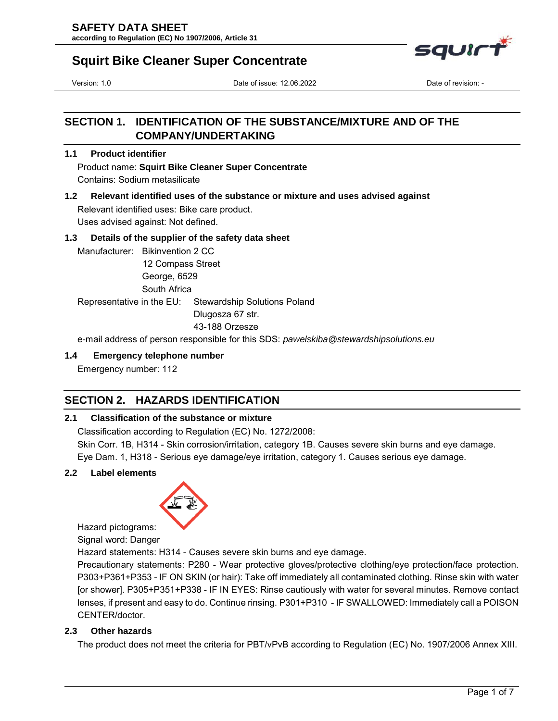

# **Squirt Bike Cleaner Super Concentrate**

Version: 1.0 Date of issue: 12.06.2022 Date of revision: -

# **SECTION 1. IDENTIFICATION OF THE SUBSTANCE/MIXTURE AND OF THE COMPANY/UNDERTAKING**

# **1.1 Product identifier**

Product name: **Squirt Bike Cleaner Super Concentrate** 

Contains: Sodium metasilicate

**1.2 Relevant identified uses of the substance or mixture and uses advised against**  Relevant identified uses: Bike care product.

Uses advised against: Not defined.

# **1.3 Details of the supplier of the safety data sheet**

Manufacturer: Bikinvention 2 CC 12 Compass Street George, 6529 South Africa

Representative in the EU: Stewardship Solutions Poland

Dlugosza 67 str.

43-188 Orzesze

e-mail address of person responsible for this SDS: *pawelskiba@stewardshipsolutions.eu*

# **1.4 Emergency telephone number**

Emergency number: 112

# **SECTION 2. HAZARDS IDENTIFICATION**

# **2.1 Classification of the substance or mixture**

Classification according to Regulation (EC) No. 1272/2008:

Skin Corr. 1B, H314 - Skin corrosion/irritation, category 1B. Causes severe skin burns and eye damage.

Eye Dam. 1, H318 - Serious eye damage/eye irritation, category 1. Causes serious eye damage.

# **2.2 Label elements**



Hazard pictograms:

Signal word: Danger

Hazard statements: H314 - Causes severe skin burns and eye damage.

Precautionary statements: P280 - Wear protective gloves/protective clothing/eye protection/face protection. P303+P361+P353 - IF ON SKIN (or hair): Take off immediately all contaminated clothing. Rinse skin with water [or shower]. P305+P351+P338 - IF IN EYES: Rinse cautiously with water for several minutes. Remove contact lenses, if present and easy to do. Continue rinsing. P301+P310 - IF SWALLOWED: Immediately call a POISON CENTER/doctor.

# **2.3 Other hazards**

The product does not meet the criteria for PBT/vPvB according to Regulation (EC) No. 1907/2006 Annex XIII.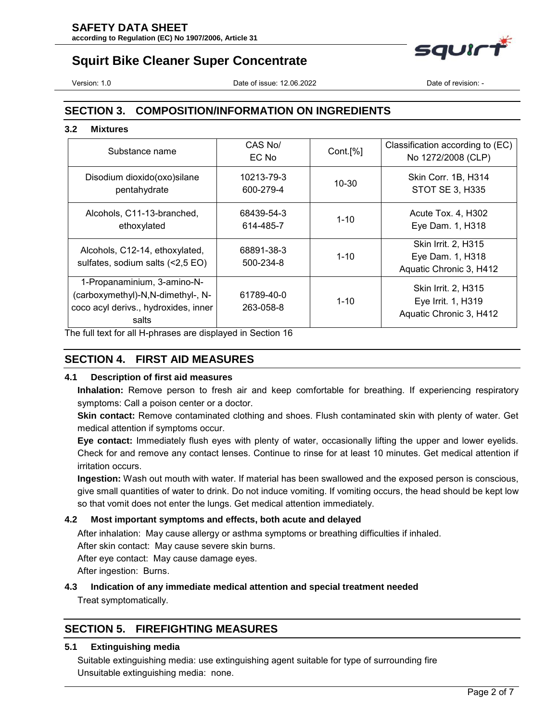# **SAFETY DATA SHEET**

**according to Regulation (EC) No 1907/2006, Article 31**



# **Squirt Bike Cleaner Super Concentrate**

Version: 1.0 Date of issue: 12.06.2022 Date of revision: -

# **SECTION 3. COMPOSITION/INFORMATION ON INGREDIENTS**

### **3.2 Mixtures**

| Substance name                                                                                                    | CAS No/<br>EC No        | Cont.[%]  | Classification according to (EC)<br>No 1272/2008 (CLP)                      |
|-------------------------------------------------------------------------------------------------------------------|-------------------------|-----------|-----------------------------------------------------------------------------|
| Disodium dioxido(oxo)silane<br>pentahydrate                                                                       | 10213-79-3<br>600-279-4 | $10 - 30$ | Skin Corr. 1B, H314<br><b>STOT SE 3, H335</b>                               |
| Alcohols, C11-13-branched,<br>ethoxylated                                                                         | 68439-54-3<br>614-485-7 | $1 - 10$  | Acute Tox. 4, H302<br>Eye Dam. 1, H318                                      |
| Alcohols, C12-14, ethoxylated,<br>sulfates, sodium salts (<2,5 EO)                                                | 68891-38-3<br>500-234-8 | $1 - 10$  | Skin Irrit. 2, H315<br>Eye Dam. 1, H318<br>Aquatic Chronic 3, H412          |
| 1-Propanaminium, 3-amino-N-<br>(carboxymethyl)-N,N-dimethyl-, N-<br>coco acyl derivs., hydroxides, inner<br>salts | 61789-40-0<br>263-058-8 | $1 - 10$  | <b>Skin Irrit. 2, H315</b><br>Eye Irrit. 1, H319<br>Aquatic Chronic 3, H412 |

The full text for all H-phrases are displayed in Section 16

# **SECTION 4. FIRST AID MEASURES**

# **4.1 Description of first aid measures**

**Inhalation:** Remove person to fresh air and keep comfortable for breathing. If experiencing respiratory symptoms: Call a poison center or a doctor.

**Skin contact:** Remove contaminated clothing and shoes. Flush contaminated skin with plenty of water. Get medical attention if symptoms occur.

**Eye contact:** Immediately flush eyes with plenty of water, occasionally lifting the upper and lower eyelids. Check for and remove any contact lenses. Continue to rinse for at least 10 minutes. Get medical attention if irritation occurs.

**Ingestion:** Wash out mouth with water. If material has been swallowed and the exposed person is conscious, give small quantities of water to drink. Do not induce vomiting. If vomiting occurs, the head should be kept low so that vomit does not enter the lungs. Get medical attention immediately.

# **4.2 Most important symptoms and effects, both acute and delayed**

After inhalation: May cause allergy or asthma symptoms or breathing difficulties if inhaled.

After skin contact: May cause severe skin burns.

After eye contact: May cause damage eyes.

After ingestion: Burns.

# **4.3 Indication of any immediate medical attention and special treatment needed**

Treat symptomatically.

# **SECTION 5. FIREFIGHTING MEASURES**

# **5.1 Extinguishing media**

Suitable extinguishing media: use extinguishing agent suitable for type of surrounding fire Unsuitable extinguishing media: none.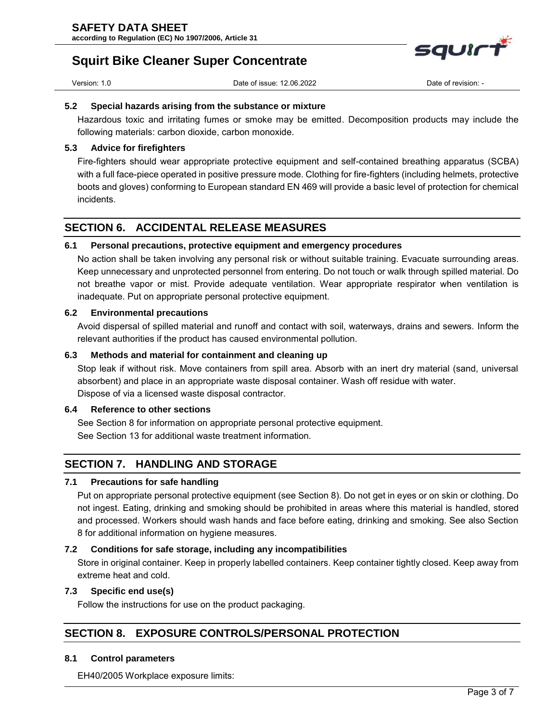

Version: 1.0 Date of issue: 12.06.2022 Date of revision: -

squir<sup>-</sup>

#### **5.2 Special hazards arising from the substance or mixture**

Hazardous toxic and irritating fumes or smoke may be emitted. Decomposition products may include the following materials: carbon dioxide, carbon monoxide.

### **5.3 Advice for firefighters**

Fire-fighters should wear appropriate protective equipment and self-contained breathing apparatus (SCBA) with a full face-piece operated in positive pressure mode. Clothing for fire-fighters (including helmets, protective boots and gloves) conforming to European standard EN 469 will provide a basic level of protection for chemical incidents.

# **SECTION 6. ACCIDENTAL RELEASE MEASURES**

# **6.1 Personal precautions, protective equipment and emergency procedures**

No action shall be taken involving any personal risk or without suitable training. Evacuate surrounding areas. Keep unnecessary and unprotected personnel from entering. Do not touch or walk through spilled material. Do not breathe vapor or mist. Provide adequate ventilation. Wear appropriate respirator when ventilation is inadequate. Put on appropriate personal protective equipment.

### **6.2 Environmental precautions**

Avoid dispersal of spilled material and runoff and contact with soil, waterways, drains and sewers. Inform the relevant authorities if the product has caused environmental pollution.

# **6.3 Methods and material for containment and cleaning up**

Stop leak if without risk. Move containers from spill area. Absorb with an inert dry material (sand, universal absorbent) and place in an appropriate waste disposal container. Wash off residue with water. Dispose of via a licensed waste disposal contractor.

# **6.4 Reference to other sections**

See Section 8 for information on appropriate personal protective equipment. See Section 13 for additional waste treatment information.

# **SECTION 7. HANDLING AND STORAGE**

### **7.1 Precautions for safe handling**

Put on appropriate personal protective equipment (see Section 8). Do not get in eyes or on skin or clothing. Do not ingest. Eating, drinking and smoking should be prohibited in areas where this material is handled, stored and processed. Workers should wash hands and face before eating, drinking and smoking. See also Section 8 for additional information on hygiene measures.

### **7.2 Conditions for safe storage, including any incompatibilities**

Store in original container. Keep in properly labelled containers. Keep container tightly closed. Keep away from extreme heat and cold.

### **7.3 Specific end use(s)**

Follow the instructions for use on the product packaging.

# **SECTION 8. EXPOSURE CONTROLS/PERSONAL PROTECTION**

### **8.1 Control parameters**

EH40/2005 Workplace exposure limits: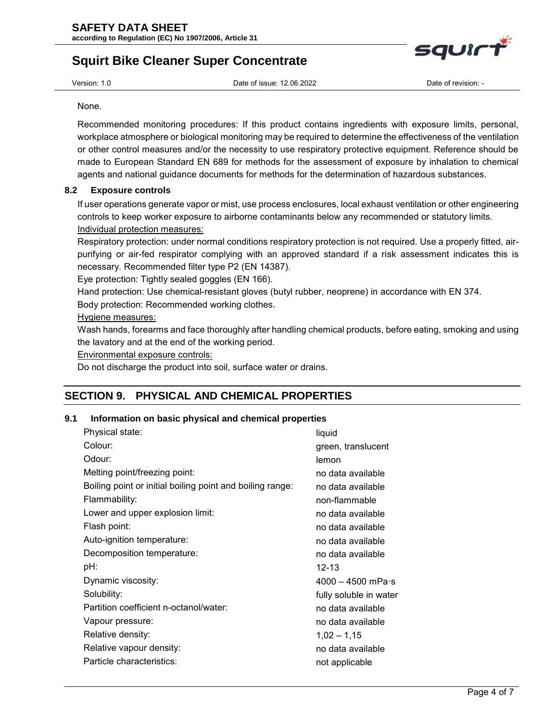

# **Squirt Bike Cleaner Super Concentrate**

Version: 1.0 Date of issue: 12.06.2022 Date of revision: -

None.

Recommended monitoring procedures: If this product contains ingredients with exposure limits, personal, workplace atmosphere or biological monitoring may be required to determine the effectiveness of the ventilation or other control measures and/or the necessity to use respiratory protective equipment. Reference should be made to European Standard EN 689 for methods for the assessment of exposure by inhalation to chemical agents and national guidance documents for methods for the determination of hazardous substances.

# **8.2 Exposure controls**

If user operations generate vapor or mist, use process enclosures, local exhaust ventilation or other engineering controls to keep worker exposure to airborne contaminants below any recommended or statutory limits. Individual protection measures:

Respiratory protection: under normal conditions respiratory protection is not required. Use a properly fitted, airpurifying or air-fed respirator complying with an approved standard if a risk assessment indicates this is necessary. Recommended filter type P2 (EN 14387).

Eye protection: Tightly sealed goggles (EN 166).

Hand protection: Use chemical-resistant gloves (butyl rubber, neoprene) in accordance with EN 374.

Body protection: Recommended working clothes.

# Hygiene measures:

Wash hands, forearms and face thoroughly after handling chemical products, before eating, smoking and using the lavatory and at the end of the working period.

Environmental exposure controls:

Do not discharge the product into soil, surface water or drains.

# **SECTION 9. PHYSICAL AND CHEMICAL PROPERTIES**

# **9.1 Information on basic physical and chemical properties**

| Physical state:                                           | liquid                      |
|-----------------------------------------------------------|-----------------------------|
| Colour:                                                   | green, translucent          |
| Odour:                                                    | lemon                       |
| Melting point/freezing point:                             | no data available           |
| Boiling point or initial boiling point and boiling range: | no data available           |
| Flammability:                                             | non-flammable               |
| Lower and upper explosion limit:                          | no data available           |
| Flash point:                                              | no data available           |
| Auto-ignition temperature:                                | no data available           |
| Decomposition temperature:                                | no data available           |
| pH:                                                       | 12-13                       |
| Dynamic viscosity:                                        | $4000 - 4500$ mPa $\cdot$ s |
| Solubility:                                               | fully soluble in water      |
| Partition coefficient n-octanol/water:                    | no data available           |
| Vapour pressure:                                          | no data available           |
| Relative density:                                         | $1,02 - 1,15$               |
| Relative vapour density:                                  | no data available           |
| Particle characteristics:                                 | not applicable              |
|                                                           |                             |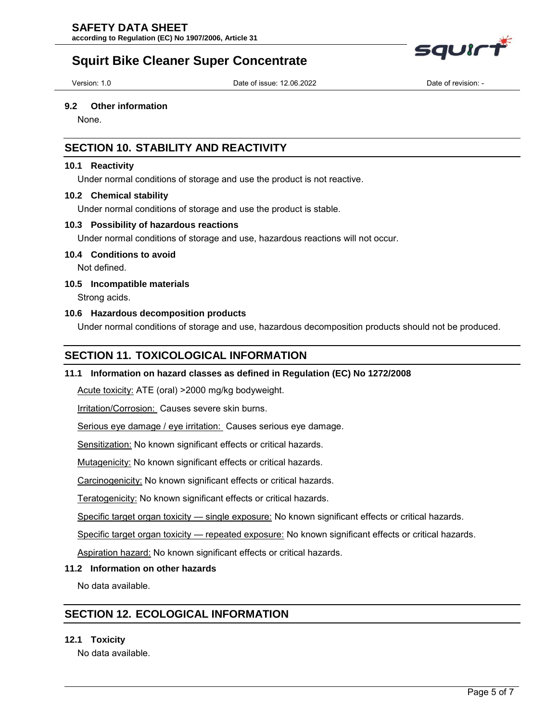# **SAFETY DATA SHEET**

**according to Regulation (EC) No 1907/2006, Article 31**



Version: 1.0 Date of issue: 12.06.2022 Date of revision: -

#### **9.2 Other information**

None.

# **SECTION 10. STABILITY AND REACTIVITY**

# **10.1 Reactivity**

Under normal conditions of storage and use the product is not reactive.

#### **10.2 Chemical stability**

Under normal conditions of storage and use the product is stable.

### **10.3 Possibility of hazardous reactions**

Under normal conditions of storage and use, hazardous reactions will not occur.

### **10.4 Conditions to avoid**

Not defined.

### **10.5 Incompatible materials**

Strong acids.

# **10.6 Hazardous decomposition products**

Under normal conditions of storage and use, hazardous decomposition products should not be produced.

# **SECTION 11. TOXICOLOGICAL INFORMATION**

### **11.1 Information on hazard classes as defined in Regulation (EC) No 1272/2008**

Acute toxicity: ATE (oral) >2000 mg/kg bodyweight.

Irritation/Corrosion: Causes severe skin burns.

Serious eye damage / eye irritation: Causes serious eye damage.

Sensitization: No known significant effects or critical hazards.

Mutagenicity: No known significant effects or critical hazards.

Carcinogenicity: No known significant effects or critical hazards.

Teratogenicity: No known significant effects or critical hazards.

Specific target organ toxicity — single exposure: No known significant effects or critical hazards.

Specific target organ toxicity — repeated exposure: No known significant effects or critical hazards.

Aspiration hazard: No known significant effects or critical hazards.

### **11.2 Information on other hazards**

No data available.

# **SECTION 12. ECOLOGICAL INFORMATION**

### **12.1 Toxicity**

No data available.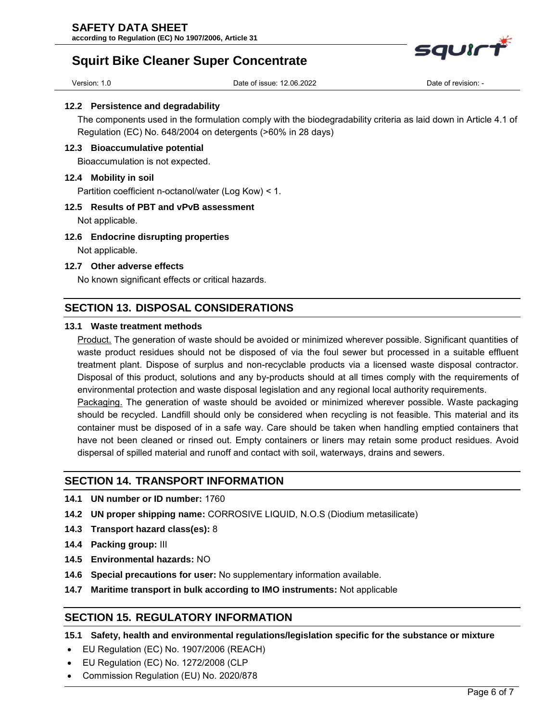

# **Squirt Bike Cleaner Super Concentrate**

Version: 1.0 Date of issue: 12.06.2022 Date of revision: -

#### **12.2 Persistence and degradability**

The components used in the formulation comply with the biodegradability criteria as laid down in Article 4.1 of Regulation (EC) No. 648/2004 on detergents (>60% in 28 days)

### **12.3 Bioaccumulative potential**

Bioaccumulation is not expected.

### **12.4 Mobility in soil**

Partition coefficient n-octanol/water (Log Kow) < 1.

### **12.5 Results of PBT and vPvB assessment**

Not applicable.

#### **12.6 Endocrine disrupting properties**

Not applicable.

# **12.7 Other adverse effects**

No known significant effects or critical hazards.

# **SECTION 13. DISPOSAL CONSIDERATIONS**

# **13.1 Waste treatment methods**

Product. The generation of waste should be avoided or minimized wherever possible. Significant quantities of waste product residues should not be disposed of via the foul sewer but processed in a suitable effluent treatment plant. Dispose of surplus and non-recyclable products via a licensed waste disposal contractor. Disposal of this product, solutions and any by-products should at all times comply with the requirements of environmental protection and waste disposal legislation and any regional local authority requirements.

Packaging. The generation of waste should be avoided or minimized wherever possible. Waste packaging should be recycled. Landfill should only be considered when recycling is not feasible. This material and its container must be disposed of in a safe way. Care should be taken when handling emptied containers that have not been cleaned or rinsed out. Empty containers or liners may retain some product residues. Avoid dispersal of spilled material and runoff and contact with soil, waterways, drains and sewers.

# **SECTION 14. TRANSPORT INFORMATION**

- **14.1 UN number or ID number:** 1760
- **14.2 UN proper shipping name:** CORROSIVE LIQUID, N.O.S (Diodium metasilicate)
- **14.3 Transport hazard class(es):** 8
- **14.4 Packing group:** III
- **14.5 Environmental hazards:** NO
- **14.6 Special precautions for user:** No supplementary information available.
- **14.7 Maritime transport in bulk according to IMO instruments:** Not applicable

# **SECTION 15. REGULATORY INFORMATION**

**15.1 Safety, health and environmental regulations/legislation specific for the substance or mixture** 

- EU Regulation (EC) No. 1907/2006 (REACH)
- EU Regulation (EC) No. 1272/2008 (CLP
- Commission Regulation (EU) No. 2020/878